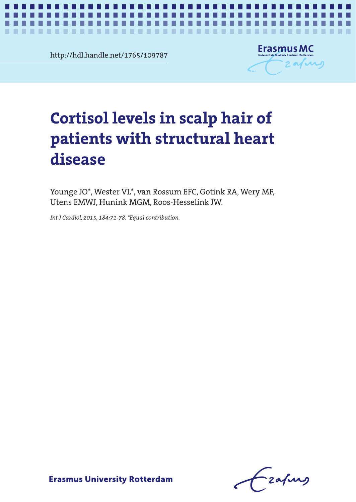http://hdl.handle.net/1765/109787

..................



*Hair cortisol in structural heart disease* **1**

## sol levels in scalp hair or<br>nts with structural heart<br>se of patients with structural **patients with structural heart Cortisol levels in scalp hair of disease**

Younge JO\*, Wester VL\*, van Rossum EFC, Gotink RA, Wery MF, Utens EMWJ, Hunink MGM, Roos-Hesselink JW.

Younge JO\*, Wester VL\*, van Rossum EFC, Gotink RA, Wery MF, Int J Cardiol, 2015, 184:71-78. \*Equal contribution.<br>.

-zafurg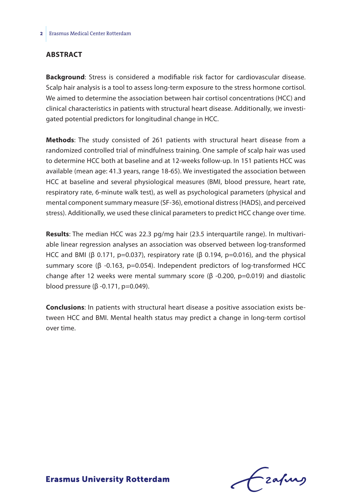#### **Abstract**

**Background**: Stress is considered a modifiable risk factor for cardiovascular disease. Scalp hair analysis is a tool to assess long-term exposure to the stress hormone cortisol. We aimed to determine the association between hair cortisol concentrations (HCC) and clinical characteristics in patients with structural heart disease. Additionally, we investigated potential predictors for longitudinal change in HCC.

**Methods**: The study consisted of 261 patients with structural heart disease from a randomized controlled trial of mindfulness training. One sample of scalp hair was used to determine HCC both at baseline and at 12-weeks follow-up. In 151 patients HCC was available (mean age: 41.3 years, range 18-65). We investigated the association between HCC at baseline and several physiological measures (BMI, blood pressure, heart rate, respiratory rate, 6-minute walk test), as well as psychological parameters (physical and mental component summary measure (SF-36), emotional distress (HADS), and perceived stress). Additionally, we used these clinical parameters to predict HCC change over time.

**Results**: The median HCC was 22.3 pg/mg hair (23.5 interquartile range). In multivariable linear regression analyses an association was observed between log-transformed HCC and BMI ( $\beta$  0.171, p=0.037), respiratory rate ( $\beta$  0.194, p=0.016), and the physical summary score (β -0.163, p=0.054). Independent predictors of log-transformed HCC change after 12 weeks were mental summary score (β -0.200, p=0.019) and diastolic blood pressure (β -0.171, p=0.049).

**Conclusions**: In patients with structural heart disease a positive association exists between HCC and BMI. Mental health status may predict a change in long-term cortisol over time.

Frafing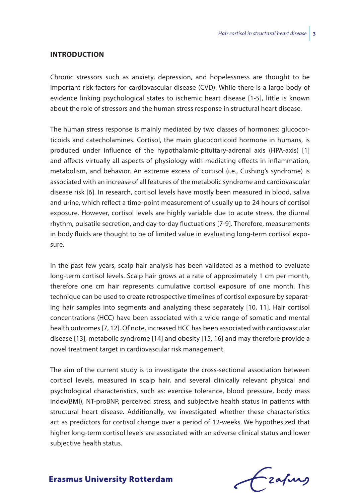#### **Introduction**

Chronic stressors such as anxiety, depression, and hopelessness are thought to be important risk factors for cardiovascular disease (CVD). While there is a large body of evidence linking psychological states to ischemic heart disease [1-5], little is known about the role of stressors and the human stress response in structural heart disease.

The human stress response is mainly mediated by two classes of hormones: glucocorticoids and catecholamines. Cortisol, the main glucocorticoid hormone in humans, is produced under influence of the hypothalamic-pituitary-adrenal axis (HPA-axis) [1] and affects virtually all aspects of physiology with mediating effects in inflammation, metabolism, and behavior. An extreme excess of cortisol (i.e., Cushing's syndrome) is associated with an increase of all features of the metabolic syndrome and cardiovascular disease risk [6]. In research, cortisol levels have mostly been measured in blood, saliva and urine, which reflect a time-point measurement of usually up to 24 hours of cortisol exposure. However, cortisol levels are highly variable due to acute stress, the diurnal rhythm, pulsatile secretion, and day-to-day fluctuations [7-9]. Therefore, measurements in body fluids are thought to be of limited value in evaluating long-term cortisol exposure.

In the past few years, scalp hair analysis has been validated as a method to evaluate long-term cortisol levels. Scalp hair grows at a rate of approximately 1 cm per month, therefore one cm hair represents cumulative cortisol exposure of one month. This technique can be used to create retrospective timelines of cortisol exposure by separating hair samples into segments and analyzing these separately [10, 11]. Hair cortisol concentrations (HCC) have been associated with a wide range of somatic and mental health outcomes [7, 12]. Of note, increased HCC has been associated with cardiovascular disease [13], metabolic syndrome [14] and obesity [15, 16] and may therefore provide a novel treatment target in cardiovascular risk management.

The aim of the current study is to investigate the cross-sectional association between cortisol levels, measured in scalp hair, and several clinically relevant physical and psychological characteristics, such as: exercise tolerance, blood pressure, body mass index(BMI), NT-proBNP, perceived stress, and subjective health status in patients with structural heart disease. Additionally, we investigated whether these characteristics act as predictors for cortisol change over a period of 12-weeks. We hypothesized that higher long-term cortisol levels are associated with an adverse clinical status and lower subjective health status.

Frafing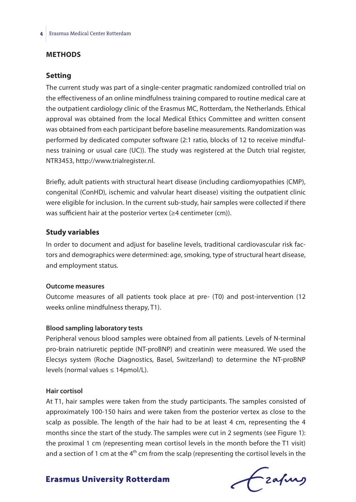#### **Methods**

#### **Setting**

The current study was part of a single-center pragmatic randomized controlled trial on the effectiveness of an online mindfulness training compared to routine medical care at the outpatient cardiology clinic of the Erasmus MC, Rotterdam, the Netherlands. Ethical approval was obtained from the local Medical Ethics Committee and written consent was obtained from each participant before baseline measurements. Randomization was performed by dedicated computer software (2:1 ratio, blocks of 12 to receive mindfulness training or usual care (UC)). The study was registered at the Dutch trial register, NTR3453, http://www.trialregister.nl.

Briefly, adult patients with structural heart disease (including cardiomyopathies (CMP), congenital (ConHD), ischemic and valvular heart disease) visiting the outpatient clinic were eligible for inclusion. In the current sub-study, hair samples were collected if there was sufficient hair at the posterior vertex (≥4 centimeter (cm)).

#### **Study variables**

In order to document and adjust for baseline levels, traditional cardiovascular risk factors and demographics were determined: age, smoking, type of structural heart disease, and employment status.

#### **Outcome measures**

Outcome measures of all patients took place at pre- (T0) and post-intervention (12 weeks online mindfulness therapy, T1).

#### **Blood sampling laboratory tests**

Peripheral venous blood samples were obtained from all patients. Levels of N-terminal pro-brain natriuretic peptide (NT-proBNP) and creatinin were measured. We used the Elecsys system (Roche Diagnostics, Basel, Switzerland) to determine the NT-proBNP levels (normal values ≤ 14pmol/L).

#### **Hair cortisol**

At T1, hair samples were taken from the study participants. The samples consisted of approximately 100-150 hairs and were taken from the posterior vertex as close to the scalp as possible. The length of the hair had to be at least 4 cm, representing the 4 months since the start of the study. The samples were cut in 2 segments (see Figure 1): the proximal 1 cm (representing mean cortisol levels in the month before the T1 visit) and a section of 1 cm at the  $4<sup>th</sup>$  cm from the scalp (representing the cortisol levels in the

frafing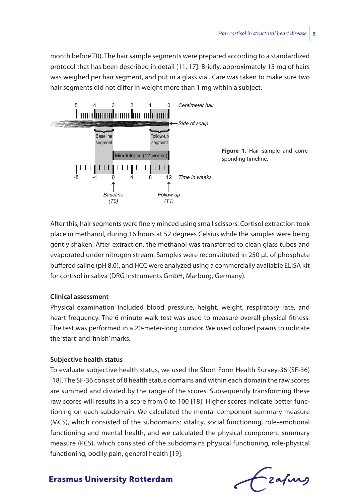month before T0). The hair sample segments were prepared according to a standardized protocol that has been described in detail [11, 17]. Briefly, approximately 15 mg of hairs was weighed per hair segment, and put in a glass vial. Care was taken to make sure two hair segments did not differ in weight more than 1 mg within a subject.



After this, hair segments were finely minced using small scissors. Cortisol extraction took place in methanol, during 16 hours at 52 degrees Celsius while the samples were being gently shaken. After extraction, the methanol was transferred to clean glass tubes and evaporated under nitrogen stream. Samples were reconstituted in 250 μL of phosphate buffered saline (pH 8.0), and HCC were analyzed using a commercially available ELISA kit for cortisol in saliva (DRG Instruments GmbH, Marburg, Germany).

#### **Clinical assessment**

Physical examination included blood pressure, height, weight, respiratory rate, and heart frequency. The 6-minute walk test was used to measure overall physical fitness. The test was performed in a 20-meter-long corridor. We used colored pawns to indicate the 'start' and 'finish' marks.

#### **Subjective health status**

To evaluate subjective health status, we used the Short Form Health Survey-36 (SF-36) [18]. The SF-36 consist of 8 health status domains and within each domain the raw scores are summed and divided by the range of the scores. Subsequently transforming these raw scores will results in a score from 0 to 100 [18]. Higher scores indicate better functioning on each subdomain. We calculated the mental component summary measure (MCS), which consisted of the subdomains: vitality, social functioning, role-emotional functioning and mental health, and we calculated the physical component summary measure (PCS), which consisted of the subdomains physical functioning, role-physical functioning, bodily pain, general health [19].

- zafurg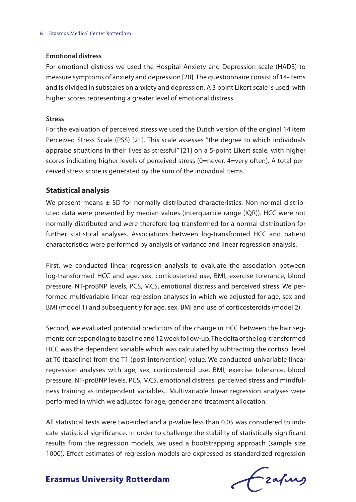#### **Emotional distress**

For emotional distress we used the Hospital Anxiety and Depression scale (HADS) to measure symptoms of anxiety and depression [20]. The questionnaire consist of 14-items and is divided in subscales on anxiety and depression. A 3 point Likert scale is used, with higher scores representing a greater level of emotional distress.

#### **Stress**

For the evaluation of perceived stress we used the Dutch version of the original 14 item Perceived Stress Scale (PSS) [21]. This scale assesses ''the degree to which individuals appraise situations in their lives as stressful'' [21] on a 5-point Likert scale, with higher scores indicating higher levels of perceived stress (0=never, 4=very often). A total perceived stress score is generated by the sum of the individual items.

#### **Statistical analysis**

We present means  $\pm$  SD for normally distributed characteristics. Non-normal distributed data were presented by median values (interquartile range (IQR)). HCC were not normally distributed and were therefore log-transformed for a normal-distribution for further statistical analyses. Associations between log-transformed HCC and patient characteristics were performed by analysis of variance and linear regression analysis.

First, we conducted linear regression analysis to evaluate the association between log-transformed HCC and age, sex, corticosteroid use, BMI, exercise tolerance, blood pressure, NT-proBNP levels, PCS, MCS, emotional distress and perceived stress. We performed multivariable linear regression analyses in which we adjusted for age, sex and BMI (model 1) and subsequently for age, sex, BMI and use of corticosteroids (model 2).

Second, we evaluated potential predictors of the change in HCC between the hair segments corresponding to baseline and 12 week follow-up. The delta of the log-transformed HCC was the dependent variable which was calculated by subtracting the cortisol level at T0 (baseline) from the T1 (post-intervention) value. We conducted univariable linear regression analyses with age, sex, corticosteroid use, BMI, exercise tolerance, blood pressure, NT-proBNP levels, PCS, MCS, emotional distress, perceived stress and mindfulness training as independent variables.. Multivariable linear regression analyses were performed in which we adjusted for age, gender and treatment allocation.

All statistical tests were two-sided and a p-value less than 0.05 was considered to indicate statistical significance. In order to challenge the stability of statistically significant results from the regression models, we used a bootstrapping approach (sample size 1000). Effect estimates of regression models are expressed as standardized regression

frafing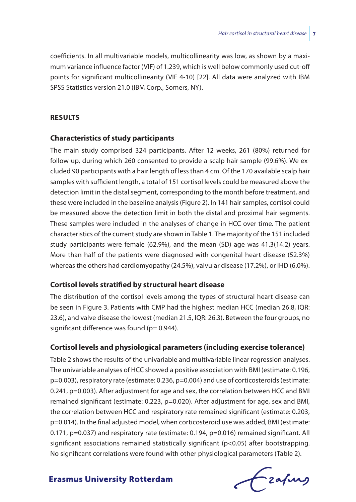coefficients. In all multivariable models, multicollinearity was low, as shown by a maximum variance influence factor (VIF) of 1.239, which is well below commonly used cut-off points for significant multicollinearity (VIF 4-10) [22]. All data were analyzed with IBM SPSS Statistics version 21.0 (IBM Corp., Somers, NY).

#### **Results**

#### **Characteristics of study participants**

The main study comprised 324 participants. After 12 weeks, 261 (80%) returned for follow-up, during which 260 consented to provide a scalp hair sample (99.6%). We excluded 90 participants with a hair length of less than 4 cm. Of the 170 available scalp hair samples with sufficient length, a total of 151 cortisol levels could be measured above the detection limit in the distal segment, corresponding to the month before treatment, and these were included in the baseline analysis (Figure 2). In 141 hair samples, cortisol could be measured above the detection limit in both the distal and proximal hair segments. These samples were included in the analyses of change in HCC over time. The patient characteristics of the current study are shown in Table 1. The majority of the 151 included study participants were female (62.9%), and the mean (SD) age was 41.3(14.2) years. More than half of the patients were diagnosed with congenital heart disease (52.3%) whereas the others had cardiomyopathy (24.5%), valvular disease (17.2%), or IHD (6.0%).

#### **Cortisol levels stratified by structural heart disease**

The distribution of the cortisol levels among the types of structural heart disease can be seen in Figure 3. Patients with CMP had the highest median HCC (median 26.8, IQR: 23.6), and valve disease the lowest (median 21.5, IQR: 26.3). Between the four groups, no significant difference was found ( $p= 0.944$ ).

#### **Cortisol levels and physiological parameters (including exercise tolerance)**

Table 2 shows the results of the univariable and multivariable linear regression analyses. The univariable analyses of HCC showed a positive association with BMI (estimate: 0.196, p=0.003), respiratory rate (estimate: 0.236, p=0.004) and use of corticosteroids (estimate: 0.241, p=0.003). After adjustment for age and sex, the correlation between HCC and BMI remained significant (estimate: 0.223, p=0.020). After adjustment for age, sex and BMI, the correlation between HCC and respiratory rate remained significant (estimate: 0.203, p=0.014). In the final adjusted model, when corticosteroid use was added, BMI (estimate: 0.171, p=0.037) and respiratory rate (estimate: 0.194, p=0.016) remained significant. All significant associations remained statistically significant (p<0.05) after bootstrapping. No significant correlations were found with other physiological parameters (Table 2).

Czafing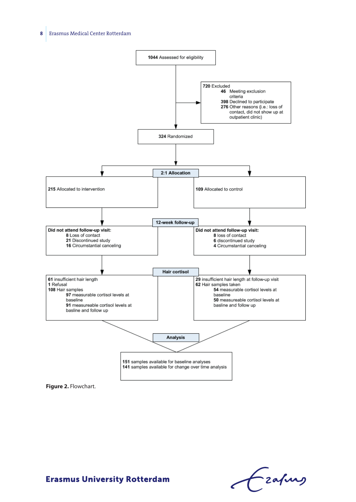



Frafing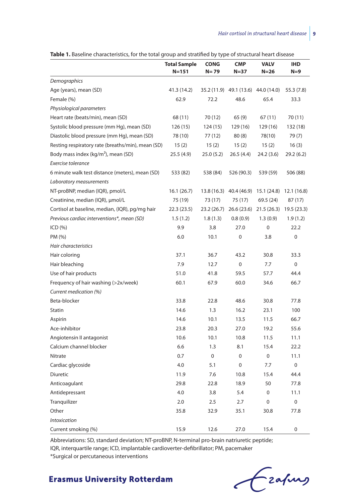| Table 1. Baseline characteristics, for the total group and stratified by type of structural heart disease |  |
|-----------------------------------------------------------------------------------------------------------|--|
|-----------------------------------------------------------------------------------------------------------|--|

|                                                   | <b>Total Sample</b><br>$N = 151$ | <b>CONG</b><br>$N = 79$ | <b>CMP</b><br>$N = 37$ | <b>VALV</b><br>$N=26$               | <b>IHD</b><br>$N=9$ |
|---------------------------------------------------|----------------------------------|-------------------------|------------------------|-------------------------------------|---------------------|
| Demographics                                      |                                  |                         |                        |                                     |                     |
| Age (years), mean (SD)                            | 41.3 (14.2)                      | 35.2 (11.9)             | 49.1 (13.6)            | 44.0 (14.0)                         | 55.3 (7.8)          |
| Female (%)                                        | 62.9                             | 72.2                    | 48.6                   | 65.4                                | 33.3                |
| Physiological parameters                          |                                  |                         |                        |                                     |                     |
| Heart rate (beats/min), mean (SD)                 | 68 (11)                          | 70 (12)                 | 65(9)                  | 67 (11)                             | 70 (11)             |
| Systolic blood pressure (mm Hg), mean (SD)        | 126(15)                          | 124 (15)                | 129(16)                | 129 (16)                            | 132 (18)            |
| Diastolic blood pressure (mm Hg), mean (SD)       | 78 (10)                          | 77 (12)                 | 80(8)                  | 78(10)                              | 79(7)               |
| Resting respiratory rate (breaths/min), mean (SD) | 15(2)                            | 15(2)                   | 15(2)                  | 15(2)                               | 16(3)               |
| Body mass index (kg/m <sup>2</sup> ), mean (SD)   | 25.5 (4.9)                       | 25.0 (5.2)              | 26.5(4.4)              | 24.2 (3.6)                          | 29.2(6.2)           |
| Exercise tolerance                                |                                  |                         |                        |                                     |                     |
| 6 minute walk test distance (meters), mean (SD)   | 533 (82)                         | 538 (84)                | 526 (90.3)             | 539 (59)                            | 506 (88)            |
| Laboratory measurements                           |                                  |                         |                        |                                     |                     |
| NT-proBNP, median (IQR), pmol/L                   | 16.1(26.7)                       | 13.8 (16.3)             | 40.4 (46.9)            | 15.1(24.8)                          | 12.1(16.8)          |
| Creatinine, median (IQR), µmol/L                  | 75 (19)                          | 73 (17)                 | 75 (17)                | 69.5 (24)                           | 87 (17)             |
| Cortisol at baseline, median, (IQR), pg/mg hair   | 22.3(23.5)                       |                         |                        | 23.2 (26.7) 26.6 (23.6) 21.5 (26.3) | 19.5 (23.3)         |
| Previous cardiac interventions*, mean (SD)        | 1.5(1.2)                         | 1.8(1.3)                | 0.8(0.9)               | 1.3(0.9)                            | 1.9(1.2)            |
| ICD(%)                                            | 9.9                              | 3.8                     | 27.0                   | 0                                   | 22.2                |
| PM (%)                                            | 6.0                              | 10.1                    | 0                      | 3.8                                 | 0                   |
| Hair characteristics                              |                                  |                         |                        |                                     |                     |
| Hair coloring                                     | 37.1                             | 36.7                    | 43.2                   | 30.8                                | 33.3                |
| Hair bleaching                                    | 7.9                              | 12.7                    | $\mathbf 0$            | 7.7                                 | $\mathbf 0$         |
| Use of hair products                              | 51.0                             | 41.8                    | 59.5                   | 57.7                                | 44.4                |
| Frequency of hair washing (>2x/week)              | 60.1                             | 67.9                    | 60.0                   | 34.6                                | 66.7                |
| Current medication (%)                            |                                  |                         |                        |                                     |                     |
| Beta-blocker                                      | 33.8                             | 22.8                    | 48.6                   | 30.8                                | 77.8                |
| Statin                                            | 14.6                             | 1.3                     | 16.2                   | 23.1                                | 100                 |
| Aspirin                                           | 14.6                             | 10.1                    | 13.5                   | 11.5                                | 66.7                |
| Ace-inhibitor                                     | 23.8                             | 20.3                    | 27.0                   | 19.2                                | 55.6                |
| Angiotensin II antagonist                         | 10.6                             | 10.1                    | 10.8                   | 11.5                                | 11.1                |
| Calcium channel blocker                           | 6.6                              | 1.3                     | 8.1                    | 15.4                                | 22.2                |
| Nitrate                                           | 0.7                              | $\mathbf 0$             | 0                      | $\mathbf 0$                         | 11.1                |
| Cardiac glycoside                                 | 4.0                              | 5.1                     | 0                      | 7.7                                 | $\mathbf 0$         |
| Diuretic                                          | 11.9                             | 7.6                     | 10.8                   | 15.4                                | 44.4                |
| Anticoagulant                                     | 29.8                             | 22.8                    | 18.9                   | 50                                  | 77.8                |
| Antidepressant                                    | 4.0                              | 3.8                     | 5.4                    | 0                                   | 11.1                |
| Tranquilizer                                      | 2.0                              | 2.5                     | 2.7                    | 0                                   | $\pmb{0}$           |
| Other                                             | 35.8                             | 32.9                    | 35.1                   | 30.8                                | 77.8                |
| <b>Intoxication</b>                               |                                  |                         |                        |                                     |                     |
| Current smoking (%)                               | 15.9                             | 12.6                    | 27.0                   | 15.4                                | $\Omega$            |

Abbreviations: SD, standard deviation; NT-proBNP, N-terminal pro-brain natriuretic peptide; IQR, interquartile range; ICD, implantable cardioverter-defibrillator; PM, pacemaker \*Surgical or percutaneous interventions

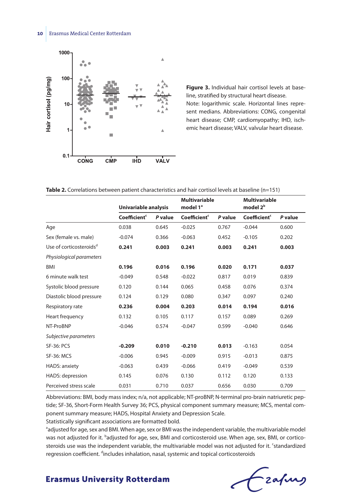

**Figure 3.** Individual hair cortisol levels at baseline, stratified by structural heart disease. Note: logarithmic scale. Horizontal lines represent medians. Abbreviations: CONG, congenital heart disease; CMP, cardiomyopathy; IHD, ischemic heart disease; VALV, valvular heart disease.

**Table 2.** Correlations between patient characteristics and hair cortisol levels at baseline (n=151)

|                                     | Univariable analysis     |         | <b>Multivariable</b><br>model 1 <sup>ª</sup> |         | <b>Multivariable</b><br>model 2 <sup>b</sup> |         |
|-------------------------------------|--------------------------|---------|----------------------------------------------|---------|----------------------------------------------|---------|
|                                     | Coefficient <sup>c</sup> | P value | Coefficient <sup>c</sup>                     | P value | Coefficient <sup>c</sup>                     | P value |
| Age                                 | 0.038                    | 0.645   | $-0.025$                                     | 0.767   | $-0.044$                                     | 0.600   |
| Sex (female vs. male)               | $-0.074$                 | 0.366   | $-0.063$                                     | 0.452   | $-0.105$                                     | 0.202   |
| Use of corticosteroids <sup>d</sup> | 0.241                    | 0.003   | 0.241                                        | 0.003   | 0.241                                        | 0.003   |
| Physiological parameters            |                          |         |                                              |         |                                              |         |
| <b>BMI</b>                          | 0.196                    | 0.016   | 0.196                                        | 0.020   | 0.171                                        | 0.037   |
| 6 minute walk test                  | $-0.049$                 | 0.548   | $-0.022$                                     | 0.817   | 0.019                                        | 0.839   |
| Systolic blood pressure             | 0.120                    | 0.144   | 0.065                                        | 0.458   | 0.076                                        | 0.374   |
| Diastolic blood pressure            | 0.124                    | 0.129   | 0.080                                        | 0.347   | 0.097                                        | 0.240   |
| Respiratory rate                    | 0.236                    | 0.004   | 0.203                                        | 0.014   | 0.194                                        | 0.016   |
| Heart frequency                     | 0.132                    | 0.105   | 0.117                                        | 0.157   | 0.089                                        | 0.269   |
| NT-ProBNP                           | $-0.046$                 | 0.574   | $-0.047$                                     | 0.599   | $-0.040$                                     | 0.646   |
| Subjective parameters               |                          |         |                                              |         |                                              |         |
| <b>SF-36: PCS</b>                   | $-0.209$                 | 0.010   | $-0.210$                                     | 0.013   | $-0.163$                                     | 0.054   |
| <b>SF-36: MCS</b>                   | $-0.006$                 | 0.945   | $-0.009$                                     | 0.915   | $-0.013$                                     | 0.875   |
| <b>HADS: anxiety</b>                | $-0.063$                 | 0.439   | $-0.066$                                     | 0.419   | $-0.049$                                     | 0.539   |
| HADS: depression                    | 0.145                    | 0.076   | 0.130                                        | 0.112   | 0.120                                        | 0.133   |
| Perceived stress scale              | 0.031                    | 0.710   | 0.037                                        | 0.656   | 0.030                                        | 0.709   |

Abbreviations: BMI, body mass index; n/a, not applicable; NT-proBNP, N-terminal pro-brain natriuretic peptide; SF-36, Short-Form Health Survey 36; PCS, physical component summary measure; MCS, mental component summary measure; HADS, Hospital Anxiety and Depression Scale.

Statistically significant associations are formatted bold.

<sup>a</sup>adjusted for age, sex and BMI. When age, sex or BMI was the independent variable, the multivariable model was not adjusted for it. <sup>b</sup>adjusted for age, sex, BMI and corticosteroid use. When age, sex, BMI, or corticosteroids use was the independent variable, the multivariable model was not adjusted for it. 'standardized regression coefficient. <sup>d</sup>includes inhalation, nasal, systemic and topical corticosteroids

Lzafurg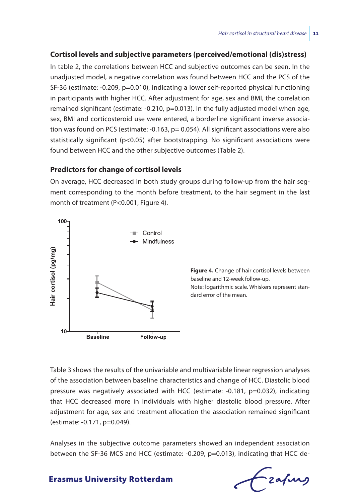#### **Cortisol levels and subjective parameters (perceived/emotional (dis)stress)**

In table 2, the correlations between HCC and subjective outcomes can be seen. In the unadjusted model, a negative correlation was found between HCC and the PCS of the SF-36 (estimate: -0.209, p=0.010), indicating a lower self-reported physical functioning in participants with higher HCC. After adjustment for age, sex and BMI, the correlation remained significant (estimate:  $-0.210$ ,  $p=0.013$ ). In the fully adjusted model when age, sex, BMI and corticosteroid use were entered, a borderline significant inverse association was found on PCS (estimate: -0.163, p= 0.054). All significant associations were also statistically significant (p<0.05) after bootstrapping. No significant associations were found between HCC and the other subjective outcomes (Table 2).

#### **Predictors for change of cortisol levels**

On average, HCC decreased in both study groups during follow-up from the hair segment corresponding to the month before treatment, to the hair segment in the last month of treatment (P<0.001, Figure 4).



**Figure 4.** Change of hair cortisol levels between baseline and 12-week follow-up. Note: logarithmic scale. Whiskers represent standard error of the mean.

Table 3 shows the results of the univariable and multivariable linear regression analyses of the association between baseline characteristics and change of HCC. Diastolic blood pressure was negatively associated with HCC (estimate: -0.181, p=0.032), indicating that HCC decreased more in individuals with higher diastolic blood pressure. After adjustment for age, sex and treatment allocation the association remained significant (estimate: -0.171, p=0.049).

Analyses in the subjective outcome parameters showed an independent association between the SF-36 MCS and HCC (estimate: -0.209, p=0.013), indicating that HCC de-

# -zafurs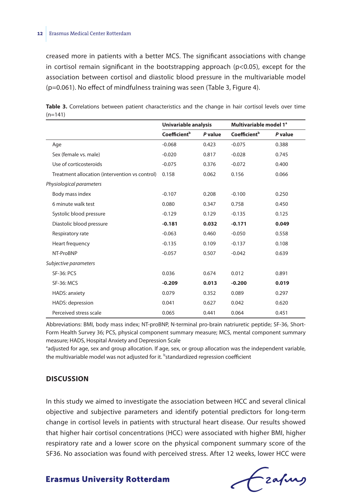creased more in patients with a better MCS. The significant associations with change in cortisol remain significant in the bootstrapping approach ( $p<0.05$ ), except for the association between cortisol and diastolic blood pressure in the multivariable model (p=0.061). No effect of mindfulness training was seen (Table 3, Figure 4).

|                                                | Univariable analysis     |         | Multivariable model 1 <sup>ª</sup> |         |
|------------------------------------------------|--------------------------|---------|------------------------------------|---------|
|                                                | Coefficient <sup>b</sup> | P value | Coefficient <sup>b</sup>           | P value |
| Age                                            | $-0.068$                 | 0.423   | $-0.075$                           | 0.388   |
| Sex (female vs. male)                          | $-0.020$                 | 0.817   | $-0.028$                           | 0.745   |
| Use of corticosteroids                         | $-0.075$                 | 0.376   | $-0.072$                           | 0.400   |
| Treatment allocation (intervention vs control) | 0.158                    | 0.062   | 0.156                              | 0.066   |
| Physiological parameters                       |                          |         |                                    |         |
| Body mass index                                | $-0.107$                 | 0.208   | $-0.100$                           | 0.250   |
| 6 minute walk test                             | 0.080                    | 0.347   | 0.758                              | 0.450   |
| Systolic blood pressure                        | $-0.129$                 | 0.129   | $-0.135$                           | 0.125   |
| Diastolic blood pressure                       | $-0.181$                 | 0.032   | $-0.171$                           | 0.049   |
| Respiratory rate                               | $-0.063$                 | 0.460   | $-0.050$                           | 0.558   |
| Heart frequency                                | $-0.135$                 | 0.109   | $-0.137$                           | 0.108   |
| NT-ProBNP                                      | $-0.057$                 | 0.507   | $-0.042$                           | 0.639   |
| Subjective parameters                          |                          |         |                                    |         |
| <b>SF-36: PCS</b>                              | 0.036                    | 0.674   | 0.012                              | 0.891   |
| <b>SF-36: MCS</b>                              | $-0.209$                 | 0.013   | $-0.200$                           | 0.019   |
| HADS: anxiety                                  | 0.079                    | 0.352   | 0.089                              | 0.297   |
| HADS: depression                               | 0.041                    | 0.627   | 0.042                              | 0.620   |
| Perceived stress scale                         | 0.065                    | 0.441   | 0.064                              | 0.451   |

Table 3. Correlations between patient characteristics and the change in hair cortisol levels over time  $(n=141)$ 

Abbreviations: BMI, body mass index; NT-proBNP, N-terminal pro-brain natriuretic peptide; SF-36, Short-Form Health Survey 36; PCS, physical component summary measure; MCS, mental component summary measure; HADS, Hospital Anxiety and Depression Scale

<sup>a</sup>adjusted for age, sex and group allocation. If age, sex, or group allocation was the independent variable, the multivariable model was not adjusted for it. <sup>b</sup>standardized regression coefficient

#### **Discussion**

In this study we aimed to investigate the association between HCC and several clinical objective and subjective parameters and identify potential predictors for long-term change in cortisol levels in patients with structural heart disease. Our results showed that higher hair cortisol concentrations (HCC) were associated with higher BMI, higher respiratory rate and a lower score on the physical component summary score of the SF36. No association was found with perceived stress. After 12 weeks, lower HCC were

frafing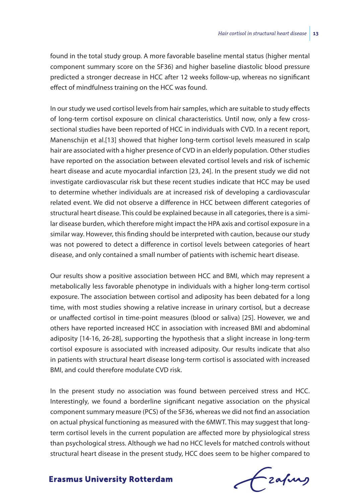found in the total study group. A more favorable baseline mental status (higher mental component summary score on the SF36) and higher baseline diastolic blood pressure predicted a stronger decrease in HCC after 12 weeks follow-up, whereas no significant effect of mindfulness training on the HCC was found.

In our study we used cortisol levels from hair samples, which are suitable to study effects of long-term cortisol exposure on clinical characteristics. Until now, only a few crosssectional studies have been reported of HCC in individuals with CVD. In a recent report, Manenschijn et al.[13] showed that higher long-term cortisol levels measured in scalp hair are associated with a higher presence of CVD in an elderly population. Other studies have reported on the association between elevated cortisol levels and risk of ischemic heart disease and acute myocardial infarction [23, 24]. In the present study we did not investigate cardiovascular risk but these recent studies indicate that HCC may be used to determine whether individuals are at increased risk of developing a cardiovascular related event. We did not observe a difference in HCC between different categories of structural heart disease. This could be explained because in all categories, there is a similar disease burden, which therefore might impact the HPA axis and cortisol exposure in a similar way. However, this finding should be interpreted with caution, because our study was not powered to detect a difference in cortisol levels between categories of heart disease, and only contained a small number of patients with ischemic heart disease.

Our results show a positive association between HCC and BMI, which may represent a metabolically less favorable phenotype in individuals with a higher long-term cortisol exposure. The association between cortisol and adiposity has been debated for a long time, with most studies showing a relative increase in urinary cortisol, but a decrease or unaffected cortisol in time-point measures (blood or saliva) [25]. However, we and others have reported increased HCC in association with increased BMI and abdominal adiposity [14-16, 26-28], supporting the hypothesis that a slight increase in long-term cortisol exposure is associated with increased adiposity. Our results indicate that also in patients with structural heart disease long-term cortisol is associated with increased BMI, and could therefore modulate CVD risk.

In the present study no association was found between perceived stress and HCC. Interestingly, we found a borderline significant negative association on the physical component summary measure (PCS) of the SF36, whereas we did not find an association on actual physical functioning as measured with the 6MWT. This may suggest that longterm cortisol levels in the current population are affected more by physiological stress than psychological stress. Although we had no HCC levels for matched controls without structural heart disease in the present study, HCC does seem to be higher compared to

frafing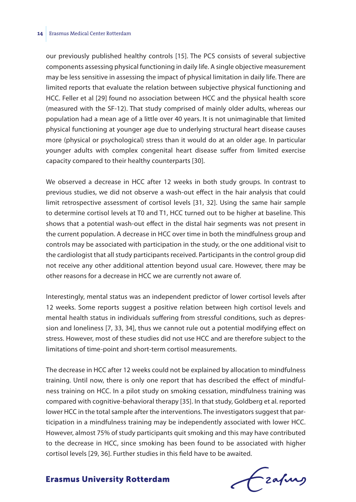#### **14** Erasmus Medical Center Rotterdam

our previously published healthy controls [15]. The PCS consists of several subjective components assessing physical functioning in daily life. A single objective measurement may be less sensitive in assessing the impact of physical limitation in daily life. There are limited reports that evaluate the relation between subjective physical functioning and HCC. Feller et al [29] found no association between HCC and the physical health score (measured with the SF-12). That study comprised of mainly older adults, whereas our population had a mean age of a little over 40 years. It is not unimaginable that limited physical functioning at younger age due to underlying structural heart disease causes more (physical or psychological) stress than it would do at an older age. In particular younger adults with complex congenital heart disease suffer from limited exercise capacity compared to their healthy counterparts [30].

We observed a decrease in HCC after 12 weeks in both study groups. In contrast to previous studies, we did not observe a wash-out effect in the hair analysis that could limit retrospective assessment of cortisol levels [31, 32]. Using the same hair sample to determine cortisol levels at T0 and T1, HCC turned out to be higher at baseline. This shows that a potential wash-out effect in the distal hair segments was not present in the current population. A decrease in HCC over time in both the mindfulness group and controls may be associated with participation in the study, or the one additional visit to the cardiologist that all study participants received. Participants in the control group did not receive any other additional attention beyond usual care. However, there may be other reasons for a decrease in HCC we are currently not aware of.

Interestingly, mental status was an independent predictor of lower cortisol levels after 12 weeks. Some reports suggest a positive relation between high cortisol levels and mental health status in individuals suffering from stressful conditions, such as depression and loneliness [7, 33, 34], thus we cannot rule out a potential modifying effect on stress. However, most of these studies did not use HCC and are therefore subject to the limitations of time-point and short-term cortisol measurements.

The decrease in HCC after 12 weeks could not be explained by allocation to mindfulness training. Until now, there is only one report that has described the effect of mindfulness training on HCC. In a pilot study on smoking cessation, mindfulness training was compared with cognitive-behavioral therapy [35]. In that study, Goldberg et al. reported lower HCC in the total sample after the interventions. The investigators suggest that participation in a mindfulness training may be independently associated with lower HCC. However, almost 75% of study participants quit smoking and this may have contributed to the decrease in HCC, since smoking has been found to be associated with higher cortisol levels [29, 36]. Further studies in this field have to be awaited.

**Erasmus University Rotterdam** 

frafing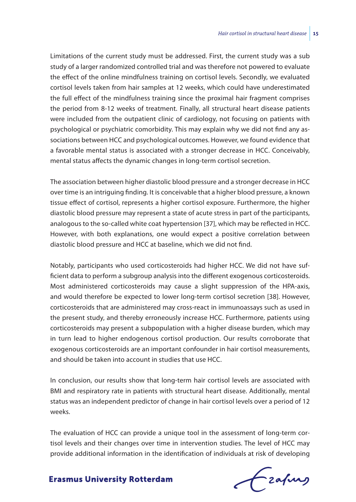Limitations of the current study must be addressed. First, the current study was a sub study of a larger randomized controlled trial and was therefore not powered to evaluate the effect of the online mindfulness training on cortisol levels. Secondly, we evaluated cortisol levels taken from hair samples at 12 weeks, which could have underestimated the full effect of the mindfulness training since the proximal hair fragment comprises the period from 8-12 weeks of treatment. Finally, all structural heart disease patients were included from the outpatient clinic of cardiology, not focusing on patients with psychological or psychiatric comorbidity. This may explain why we did not find any associations between HCC and psychological outcomes. However, we found evidence that a favorable mental status is associated with a stronger decrease in HCC. Conceivably, mental status affects the dynamic changes in long-term cortisol secretion.

The association between higher diastolic blood pressure and a stronger decrease in HCC over time is an intriguing finding. It is conceivable that a higher blood pressure, a known tissue effect of cortisol, represents a higher cortisol exposure. Furthermore, the higher diastolic blood pressure may represent a state of acute stress in part of the participants, analogous to the so-called white coat hypertension [37], which may be reflected in HCC. However, with both explanations, one would expect a positive correlation between diastolic blood pressure and HCC at baseline, which we did not find.

Notably, participants who used corticosteroids had higher HCC. We did not have sufficient data to perform a subgroup analysis into the different exogenous corticosteroids. Most administered corticosteroids may cause a slight suppression of the HPA-axis, and would therefore be expected to lower long-term cortisol secretion [38]. However, corticosteroids that are administered may cross-react in immunoassays such as used in the present study, and thereby erroneously increase HCC. Furthermore, patients using corticosteroids may present a subpopulation with a higher disease burden, which may in turn lead to higher endogenous cortisol production. Our results corroborate that exogenous corticosteroids are an important confounder in hair cortisol measurements, and should be taken into account in studies that use HCC.

In conclusion, our results show that long-term hair cortisol levels are associated with BMI and respiratory rate in patients with structural heart disease. Additionally, mental status was an independent predictor of change in hair cortisol levels over a period of 12 weeks.

The evaluation of HCC can provide a unique tool in the assessment of long-term cortisol levels and their changes over time in intervention studies. The level of HCC may provide additional information in the identification of individuals at risk of developing

frafing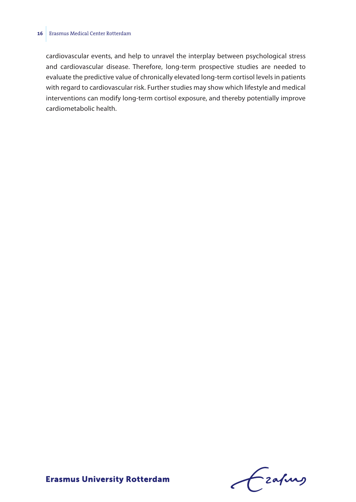#### **16** Erasmus Medical Center Rotterdam

cardiovascular events, and help to unravel the interplay between psychological stress and cardiovascular disease. Therefore, long-term prospective studies are needed to evaluate the predictive value of chronically elevated long-term cortisol levels in patients with regard to cardiovascular risk. Further studies may show which lifestyle and medical interventions can modify long-term cortisol exposure, and thereby potentially improve cardiometabolic health.

Frafing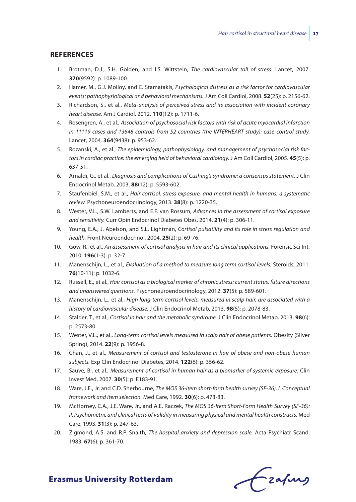#### **References**

- 1. Brotman, D.J., S.H. Golden, and I.S. Wittstein, *The cardiovascular toll of stress.* Lancet, 2007. **370**(9592): p. 1089-100.
- 2. Hamer, M., G.J. Molloy, and E. Stamatakis, *Psychological distress as a risk factor for cardiovascular events: pathophysiological and behavioral mechanisms.* J Am Coll Cardiol, 2008. **52**(25): p. 2156-62.
- 3. Richardson, S., et al., *Meta-analysis of perceived stress and its association with incident coronary heart disease.* Am J Cardiol, 2012. **110**(12): p. 1711-6.
- 4. Rosengren, A., et al., *Association of psychosocial risk factors with risk of acute myocardial infarction in 11119 cases and 13648 controls from 52 countries (the INTERHEART study): case-control study.* Lancet, 2004. **364**(9438): p. 953-62.
- 5. Rozanski, A., et al., *The epidemiology, pathophysiology, and management of psychosocial risk factors in cardiac practice: the emerging field of behavioral cardiology.* J Am Coll Cardiol, 2005. **45**(5): p. 637-51.
- 6. Arnaldi, G., et al., *Diagnosis and complications of Cushing's syndrome: a consensus statement.* J Clin Endocrinol Metab, 2003. **88**(12): p. 5593-602.
- 7. Staufenbiel, S.M., et al., *Hair cortisol, stress exposure, and mental health in humans: a systematic review.* Psychoneuroendocrinology, 2013. **38**(8): p. 1220-35.
- 8. Wester, V.L., S.W. Lamberts, and E.F. van Rossum, *Advances in the assessment of cortisol exposure and sensitivity.* Curr Opin Endocrinol Diabetes Obes, 2014. **21**(4): p. 306-11.
- 9. Young, E.A., J. Abelson, and S.L. Lightman, *Cortisol pulsatility and its role in stress regulation and health.* Front Neuroendocrinol, 2004. **25**(2): p. 69-76.
- 10. Gow, R., et al., *An assessment of cortisol analysis in hair and its clinical applications.* Forensic Sci Int, 2010. **196**(1-3): p. 32-7.
- 11. Manenschijn, L., et al., *Evaluation of a method to measure long term cortisol levels.* Steroids, 2011. **76**(10-11): p. 1032-6.
- 12. Russell, E., et al., *Hair cortisol as a biological marker of chronic stress: current status, future directions and unanswered questions.* Psychoneuroendocrinology, 2012. **37**(5): p. 589-601.
- 13. Manenschijn, L., et al., *High long-term cortisol levels, measured in scalp hair, are associated with a history of cardiovascular disease.* J Clin Endocrinol Metab, 2013. **98**(5): p. 2078-83.
- 14. Stalder, T., et al., *Cortisol in hair and the metabolic syndrome.* J Clin Endocrinol Metab, 2013. **98**(6): p. 2573-80.
- 15. Wester, V.L., et al., *Long-term cortisol levels measured in scalp hair of obese patients.* Obesity (Silver Spring), 2014. **22**(9): p. 1956-8.
- 16. Chan, J., et al., *Measurement of cortisol and testosterone in hair of obese and non-obese human subjects.* Exp Clin Endocrinol Diabetes, 2014. **122**(6): p. 356-62.
- 17. Sauve, B., et al., *Measurement of cortisol in human hair as a biomarker of systemic exposure.* Clin Invest Med, 2007. **30**(5): p. E183-91.
- 18. Ware, J.E., Jr. and C.D. Sherbourne, *The MOS 36-item short-form health survey (SF-36). I. Conceptual framework and item selection.* Med Care, 1992. **30**(6): p. 473-83.
- 19. McHorney, C.A., J.E. Ware, Jr., and A.E. Raczek, *The MOS 36-Item Short-Form Health Survey (SF-36): II. Psychometric and clinical tests of validity in measuring physical and mental health constructs.* Med Care, 1993. **31**(3): p. 247-63.
- 20. Zigmond, A.S. and R.P. Snaith, *The hospital anxiety and depression scale.* Acta Psychiatr Scand, 1983. **67**(6): p. 361-70.

Ezapurs